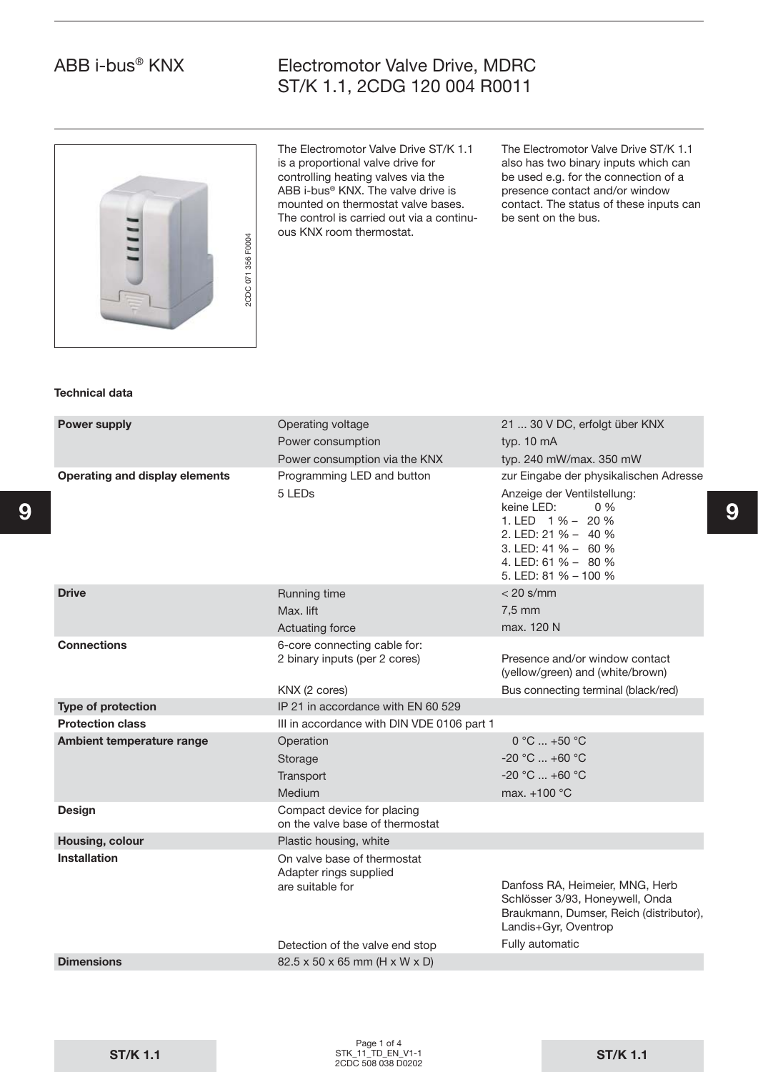## Electromotor Valve Drive, MDRC ST/K 1.1, 2CDG 120 004 R0011



The Electromotor Valve Drive ST/K 1.1 is a proportional valve drive for controlling heating valves via the ABB i-bus® KNX. The valve drive is mounted on thermostat valve bases. The control is carried out via a continuous KNX room thermostat.

The Electromotor Valve Drive ST/K 1.1 also has two binary inputs which can be used e.g. for the connection of a presence contact and/or window contact. The status of these inputs can be sent on the bus.

#### **Technical data**

| <b>Power supply</b>            | Operating voltage                                                         | 21  30 V DC, erfolgt über KNX                                                                                                                                       |   |  |  |
|--------------------------------|---------------------------------------------------------------------------|---------------------------------------------------------------------------------------------------------------------------------------------------------------------|---|--|--|
|                                | Power consumption                                                         | typ. 10 mA                                                                                                                                                          |   |  |  |
|                                | Power consumption via the KNX                                             | typ. 240 mW/max. 350 mW                                                                                                                                             |   |  |  |
| Operating and display elements | Programming LED and button                                                | zur Eingabe der physikalischen Adresse                                                                                                                              |   |  |  |
|                                | 5 LED <sub>s</sub>                                                        | Anzeige der Ventilstellung:<br>0%<br>keine LED:<br>1. LED $1\% - 20\%$<br>2. LED: 21 % - 40 %<br>3. LED: 41 % - 60 %<br>4. LED: 61 % - 80 %<br>5. LED: 81 % - 100 % | 9 |  |  |
| <b>Drive</b>                   | Running time                                                              | $<$ 20 s/mm                                                                                                                                                         |   |  |  |
|                                | Max. lift                                                                 | 7,5 mm                                                                                                                                                              |   |  |  |
|                                | Actuating force                                                           | max. 120 N                                                                                                                                                          |   |  |  |
| <b>Connections</b>             | 6-core connecting cable for:<br>2 binary inputs (per 2 cores)             | Presence and/or window contact<br>(yellow/green) and (white/brown)                                                                                                  |   |  |  |
|                                | KNX (2 cores)                                                             | Bus connecting terminal (black/red)                                                                                                                                 |   |  |  |
| <b>Type of protection</b>      | IP 21 in accordance with EN 60 529                                        |                                                                                                                                                                     |   |  |  |
| <b>Protection class</b>        | III in accordance with DIN VDE 0106 part 1                                |                                                                                                                                                                     |   |  |  |
| Ambient temperature range      | Operation                                                                 | $0 °C  +50 °C$                                                                                                                                                      |   |  |  |
|                                | Storage                                                                   | $-20 °C  +60 °C$                                                                                                                                                    |   |  |  |
|                                | Transport                                                                 | $-20 °C  +60 °C$                                                                                                                                                    |   |  |  |
|                                | Medium                                                                    | max. $+100$ °C                                                                                                                                                      |   |  |  |
| <b>Design</b>                  | Compact device for placing<br>on the valve base of thermostat             |                                                                                                                                                                     |   |  |  |
| Housing, colour                | Plastic housing, white                                                    |                                                                                                                                                                     |   |  |  |
| <b>Installation</b>            | On valve base of thermostat<br>Adapter rings supplied<br>are suitable for | Danfoss RA, Heimeier, MNG, Herb<br>Schlösser 3/93, Honeywell, Onda<br>Braukmann, Dumser, Reich (distributor),<br>Landis+Gyr, Oventrop                               |   |  |  |
|                                | Detection of the valve end stop                                           | Fully automatic                                                                                                                                                     |   |  |  |
| <b>Dimensions</b>              | 82.5 x 50 x 65 mm (H x W x D)                                             |                                                                                                                                                                     |   |  |  |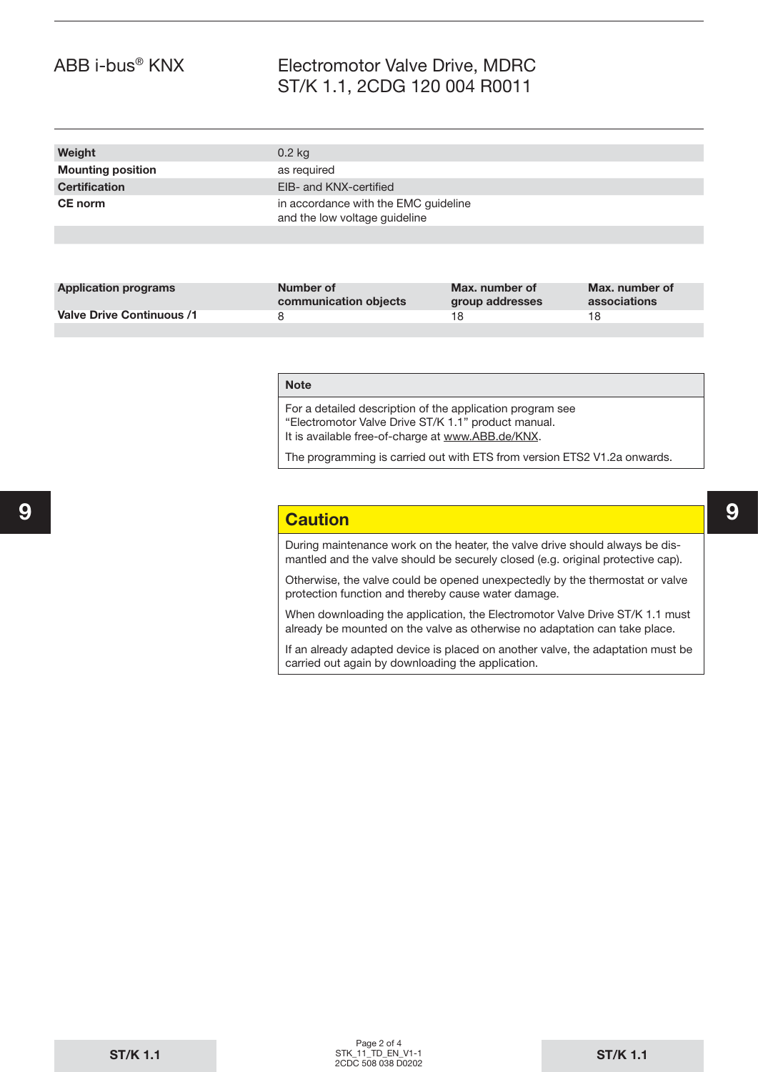## Electromotor Valve Drive, MDRC ST/K 1.1, 2CDG 120 004 R0011

| Weight                   | $0.2$ kg                                                              |
|--------------------------|-----------------------------------------------------------------------|
| <b>Mounting position</b> | as required                                                           |
| <b>Certification</b>     | EIB- and KNX-certified                                                |
| <b>CE</b> norm           | in accordance with the EMC guideline<br>and the low voltage guideline |
|                          |                                                                       |

| <b>Application programs</b> | Number of<br>communication objects | Max. number of<br>group addresses | Max. number of<br>associations |
|-----------------------------|------------------------------------|-----------------------------------|--------------------------------|
| Valve Drive Continuous /1   |                                    | 18.                               | 18                             |
|                             |                                    |                                   |                                |

#### **Note**

For a detailed description of the application program see "Electromotor Valve Drive ST/K 1.1" product manual. It is available free-of-charge at www.ABB.de/KNX.

The programming is carried out with ETS from version ETS2 V1.2a onwards.

#### **9 9 Caution**

During maintenance work on the heater, the valve drive should always be dismantled and the valve should be securely closed (e.g. original protective cap).

Otherwise, the valve could be opened unexpectedly by the thermostat or valve protection function and thereby cause water damage.

When downloading the application, the Electromotor Valve Drive ST/K 1.1 must already be mounted on the valve as otherwise no adaptation can take place.

If an already adapted device is placed on another valve, the adaptation must be carried out again by downloading the application.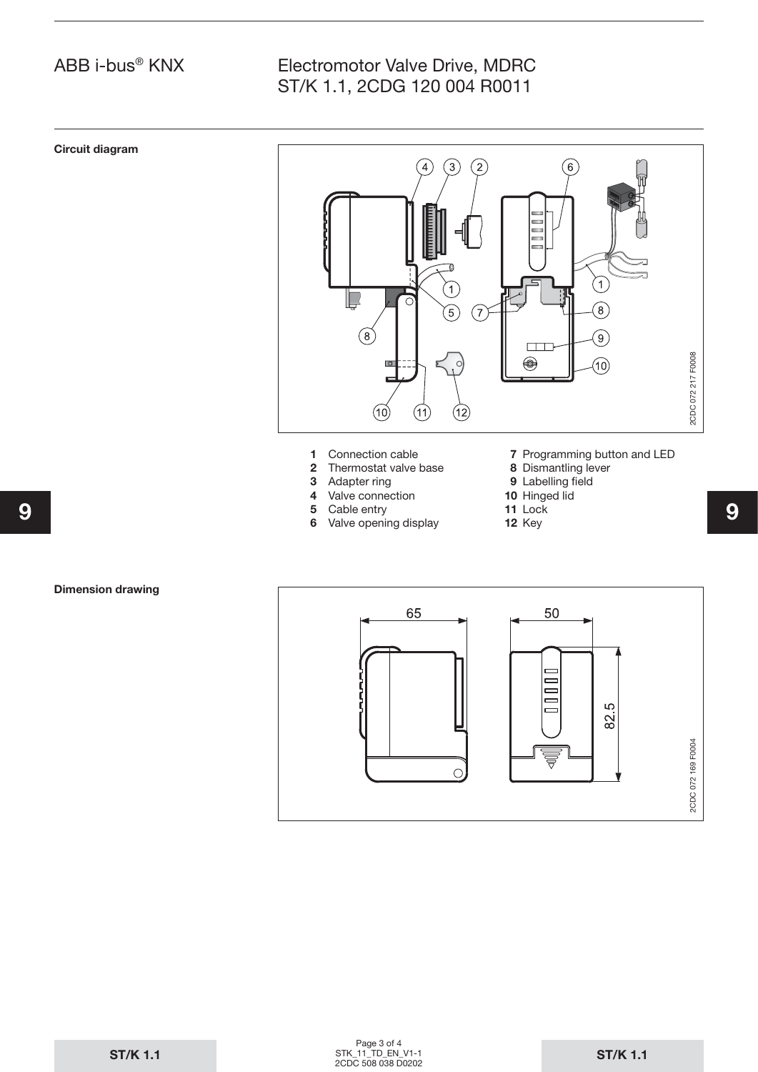# Electromotor Valve Drive, MDRC ST/K 1.1, 2CDG 120 004 R0011



- **5** Cable entry
- **9 9 6** Valve opening display
- **11** Lock
	- **12** Key

#### **Dimension drawing**